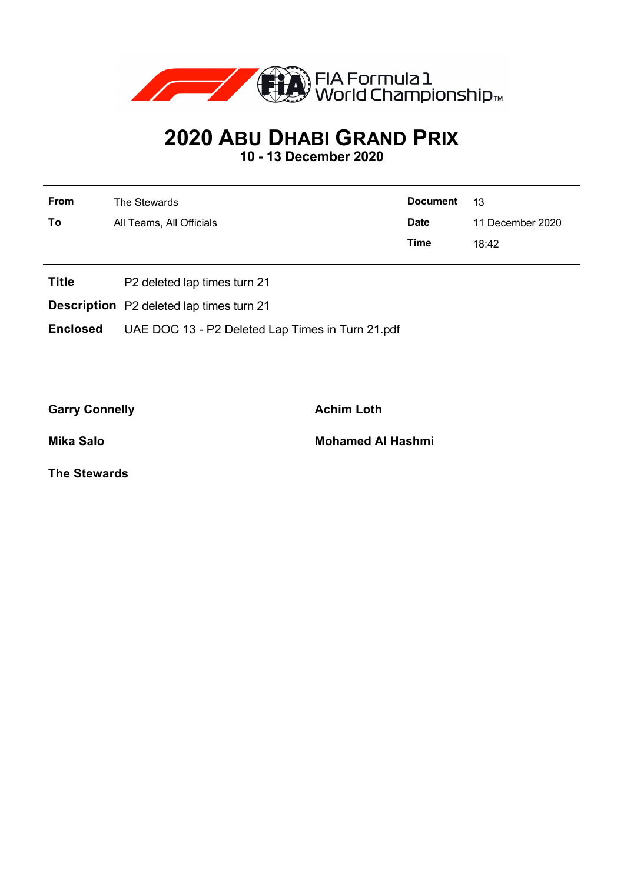

## **2020 ABU DHABI GRAND PRIX**

**10 - 13 December 2020**

| From | The Stewards             | <b>Document</b> | $-13$            |
|------|--------------------------|-----------------|------------------|
| To   | All Teams, All Officials | <b>Date</b>     | 11 December 2020 |
|      |                          | <b>Time</b>     | 18:42            |
|      |                          |                 |                  |

- **Title** P2 deleted lap times turn 21
- **Description** P2 deleted lap times turn 21

**Enclosed** UAE DOC 13 - P2 Deleted Lap Times in Turn 21.pdf

Garry Connelly **Achim Loth** 

**Mika Salo Mohamed Al Hashmi**

**The Stewards**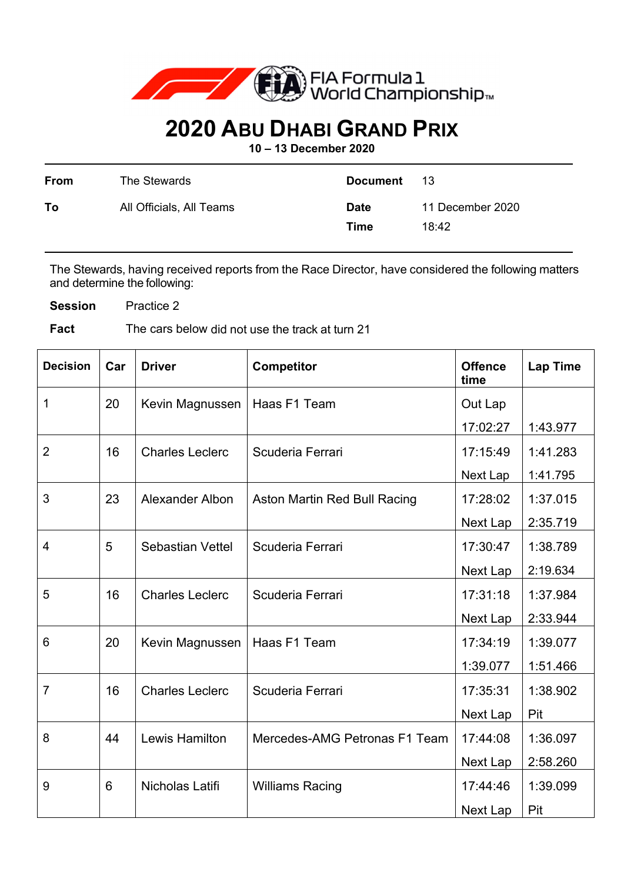

## **2020 ABU DHABI GRAND PRIX**

**10 – 13 December 2020** 

| From | The Stewards             | <b>Document</b>     | -13                       |
|------|--------------------------|---------------------|---------------------------|
| To   | All Officials, All Teams | <b>Date</b><br>Time | 11 December 2020<br>18:42 |

The Stewards, having received reports from the Race Director, have considered the following matters and determine the following:

**Session** Practice 2

**Fact** The cars below did not use the track at turn 21

| <b>Decision</b> | Car | <b>Driver</b>           | <b>Competitor</b>             | <b>Offence</b><br>time | <b>Lap Time</b> |
|-----------------|-----|-------------------------|-------------------------------|------------------------|-----------------|
| $\mathbf{1}$    | 20  | Kevin Magnussen         | Haas F1 Team                  | Out Lap                |                 |
|                 |     |                         |                               | 17:02:27               | 1:43.977        |
| $\overline{2}$  | 16  | <b>Charles Leclerc</b>  | Scuderia Ferrari              | 17:15:49               | 1:41.283        |
|                 |     |                         |                               | Next Lap               | 1:41.795        |
| 3               | 23  | <b>Alexander Albon</b>  | Aston Martin Red Bull Racing  | 17:28:02               | 1:37.015        |
|                 |     |                         |                               | Next Lap               | 2:35.719        |
| 4               | 5   | <b>Sebastian Vettel</b> | Scuderia Ferrari              | 17:30:47               | 1:38.789        |
|                 |     |                         |                               | Next Lap               | 2:19.634        |
| 5               | 16  | <b>Charles Leclerc</b>  | Scuderia Ferrari              | 17:31:18               | 1:37.984        |
|                 |     |                         |                               | Next Lap               | 2:33.944        |
| 6               | 20  | Kevin Magnussen         | Haas F1 Team                  | 17:34:19               | 1:39.077        |
|                 |     |                         |                               | 1:39.077               | 1:51.466        |
| $\overline{7}$  | 16  | <b>Charles Leclerc</b>  | Scuderia Ferrari              | 17:35:31               | 1:38.902        |
|                 |     |                         |                               | Next Lap               | Pit             |
| 8               | 44  | <b>Lewis Hamilton</b>   | Mercedes-AMG Petronas F1 Team | 17:44:08               | 1:36.097        |
|                 |     |                         |                               | Next Lap               | 2:58.260        |
| 9               | 6   | Nicholas Latifi         | <b>Williams Racing</b>        | 17:44:46               | 1:39.099        |
|                 |     |                         |                               | Next Lap               | Pit             |